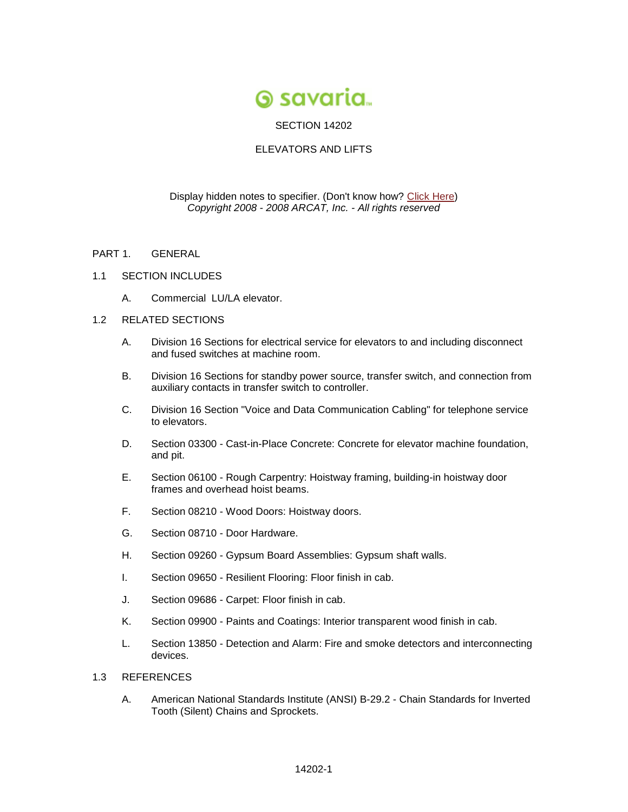

# SECTION 14202

## ELEVATORS AND LIFTS

### Display hidden notes to specifier. (Don't know how? [Click Here\)](http://www.arcat.com/sd/display_hidden_notes.shtml) *Copyright 2008 - 2008 ARCAT, Inc. - All rights reserved*

- PART 1. GENERAL
- 1.1 SECTION INCLUDES
	- A. Commercial LU/LA elevator.

### 1.2 RELATED SECTIONS

- A. Division 16 Sections for electrical service for elevators to and including disconnect and fused switches at machine room.
- B. Division 16 Sections for standby power source, transfer switch, and connection from auxiliary contacts in transfer switch to controller.
- C. Division 16 Section "Voice and Data Communication Cabling" for telephone service to elevators.
- D. Section 03300 Cast-in-Place Concrete: Concrete for elevator machine foundation, and pit.
- E. Section 06100 Rough Carpentry: Hoistway framing, building-in hoistway door frames and overhead hoist beams.
- F. Section 08210 Wood Doors: Hoistway doors.
- G. Section 08710 Door Hardware.
- H. Section 09260 Gypsum Board Assemblies: Gypsum shaft walls.
- I. Section 09650 Resilient Flooring: Floor finish in cab.
- J. Section 09686 Carpet: Floor finish in cab.
- K. Section 09900 Paints and Coatings: Interior transparent wood finish in cab.
- L. Section 13850 Detection and Alarm: Fire and smoke detectors and interconnecting devices.

## 1.3 REFERENCES

A. American National Standards Institute (ANSI) B-29.2 - Chain Standards for Inverted Tooth (Silent) Chains and Sprockets.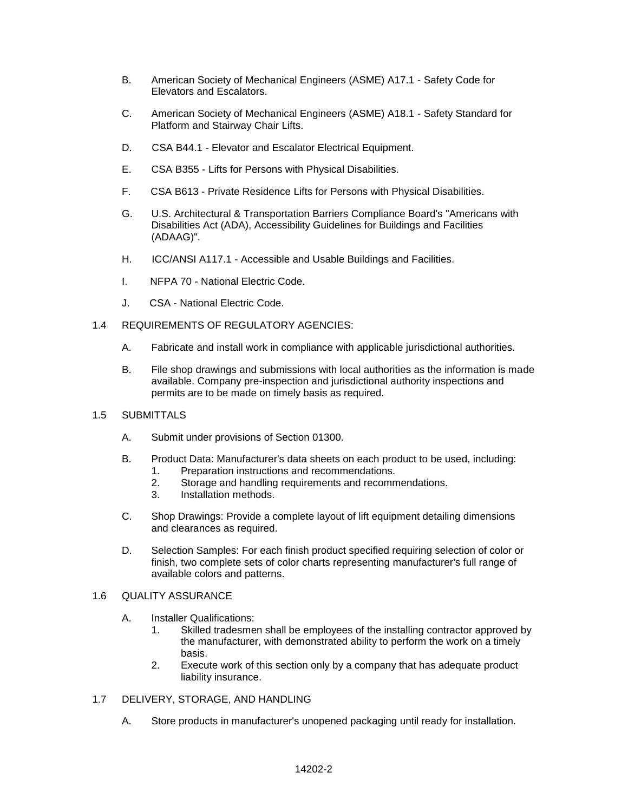- B. American Society of Mechanical Engineers (ASME) A17.1 Safety Code for Elevators and Escalators.
- C. American Society of Mechanical Engineers (ASME) A18.1 Safety Standard for Platform and Stairway Chair Lifts.
- D. CSA B44.1 Elevator and Escalator Electrical Equipment.
- E. CSA B355 Lifts for Persons with Physical Disabilities.
- F. CSA B613 Private Residence Lifts for Persons with Physical Disabilities.
- G. U.S. Architectural & Transportation Barriers Compliance Board's "Americans with Disabilities Act (ADA), Accessibility Guidelines for Buildings and Facilities (ADAAG)".
- H. ICC/ANSI A117.1 Accessible and Usable Buildings and Facilities.
- I. NFPA 70 National Electric Code.
- J. CSA National Electric Code.
- 1.4 REQUIREMENTS OF REGULATORY AGENCIES:
	- A. Fabricate and install work in compliance with applicable jurisdictional authorities.
	- B. File shop drawings and submissions with local authorities as the information is made available. Company pre-inspection and jurisdictional authority inspections and permits are to be made on timely basis as required.
- 1.5 SUBMITTALS
	- A. Submit under provisions of Section 01300.
	- B. Product Data: Manufacturer's data sheets on each product to be used, including: 1. Preparation instructions and recommendations.
		- 2. Storage and handling requirements and recommendations.
		- 3. Installation methods.
	- C. Shop Drawings: Provide a complete layout of lift equipment detailing dimensions and clearances as required.
	- D. Selection Samples: For each finish product specified requiring selection of color or finish, two complete sets of color charts representing manufacturer's full range of available colors and patterns.

## 1.6 QUALITY ASSURANCE

- A. Installer Qualifications:
	- 1. Skilled tradesmen shall be employees of the installing contractor approved by the manufacturer, with demonstrated ability to perform the work on a timely basis.
	- 2. Execute work of this section only by a company that has adequate product liability insurance.
- 1.7 DELIVERY, STORAGE, AND HANDLING
	- A. Store products in manufacturer's unopened packaging until ready for installation.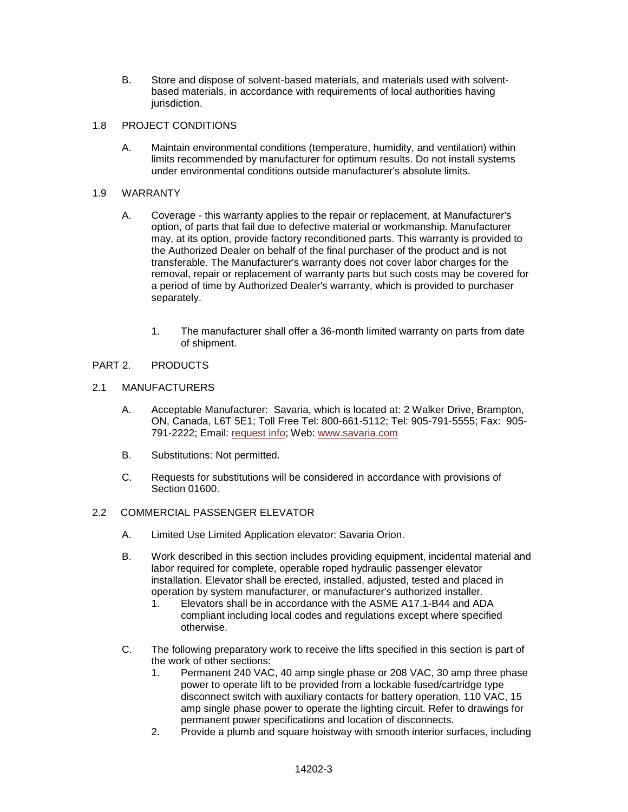- B. Store and dispose of solvent-based materials, and materials used with solventbased materials, in accordance with requirements of local authorities having jurisdiction.
- 1.8 PROJECT CONDITIONS
	- A. Maintain environmental conditions (temperature, humidity, and ventilation) within limits recommended by manufacturer for optimum results. Do not install systems under environmental conditions outside manufacturer's absolute limits.

## 1.9 WARRANTY

- A. Coverage this warranty applies to the repair or replacement, at Manufacturer's option, of parts that fail due to defective material or workmanship. Manufacturer may, at its option, provide factory reconditioned parts. This warranty is provided to the Authorized Dealer on behalf of the final purchaser of the product and is not transferable. The Manufacturer's warranty does not cover labor charges for the removal, repair or replacement of warranty parts but such costs may be covered for a period of time by Authorized Dealer's warranty, which is provided to purchaser separately.
	- 1. The manufacturer shall offer a 36-month limited warranty on parts from date of shipment.

# PART 2. PRODUCTS

## 2.1 MANUFACTURERS

- A. Acceptable Manufacturer: Savaria, which is located at: 2 Walker Drive, Brampton, ON, Canada, L6T 5E1; Toll Free Tel: 800-661-5112; Tel: 905-791-5555; Fax: 905- 791-2222; Email: [request info;](http://admin.arcat.com/users.pl?action=UserEmail&company=Savaria%20Concord&coid=31585&rep=&fax=&message=RE:%20Spec%20Question%20(14202sci):%20%20&mf=) Web: [www.savaria.com](http://www.savaria.com/)
- B. Substitutions: Not permitted.
- C. Requests for substitutions will be considered in accordance with provisions of Section 01600.

### 2.2 COMMERCIAL PASSENGER ELEVATOR

- A. Limited Use Limited Application elevator: Savaria Orion.
- B. Work described in this section includes providing equipment, incidental material and labor required for complete, operable roped hydraulic passenger elevator installation. Elevator shall be erected, installed, adjusted, tested and placed in operation by system manufacturer, or manufacturer's authorized installer.
	- 1. Elevators shall be in accordance with the ASME A17.1-B44 and ADA compliant including local codes and regulations except where specified otherwise.
- C. The following preparatory work to receive the lifts specified in this section is part of the work of other sections:
	- 1. Permanent 240 VAC, 40 amp single phase or 208 VAC, 30 amp three phase power to operate lift to be provided from a lockable fused/cartridge type disconnect switch with auxiliary contacts for battery operation. 110 VAC, 15 amp single phase power to operate the lighting circuit. Refer to drawings for permanent power specifications and location of disconnects.
	- 2. Provide a plumb and square hoistway with smooth interior surfaces, including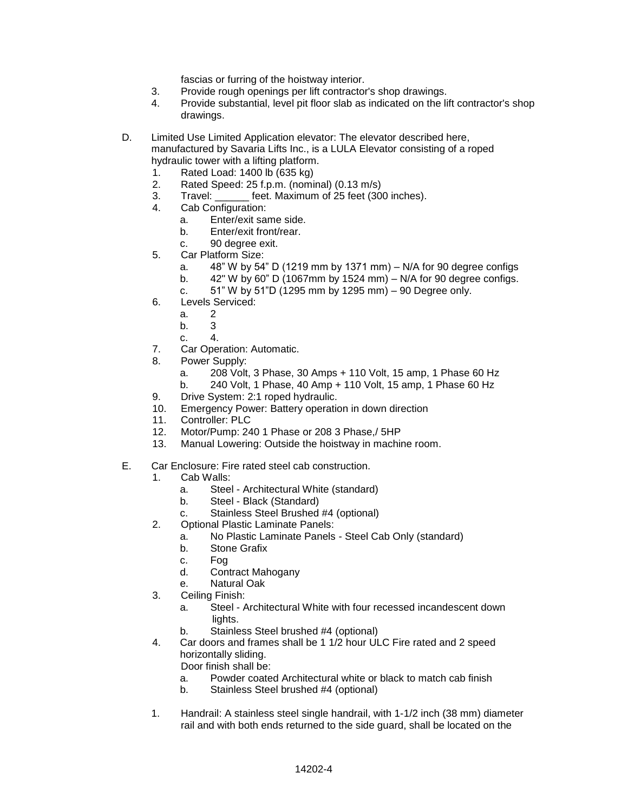fascias or furring of the hoistway interior.

- 3. Provide rough openings per lift contractor's shop drawings.
- 4. Provide substantial, level pit floor slab as indicated on the lift contractor's shop drawings.
- D. Limited Use Limited Application elevator: The elevator described here, manufactured by Savaria Lifts Inc., is a LULA Elevator consisting of a roped hydraulic tower with a lifting platform.
	- 1. Rated Load: 1400 lb (635 kg)
	- 2. Rated Speed: 25 f.p.m. (nominal) (0.13 m/s)
	- 3. Travel: \_\_\_\_\_\_ feet. Maximum of 25 feet (300 inches).
	- 4. Cab Configuration:
		- a. Enter/exit same side.
		- b. Enter/exit front/rear.
		- c. 90 degree exit.
	- 5. Car Platform Size:
		- a. 48" W by 54" D (1219 mm by 1371 mm) N/A for 90 degree configs
		- b.  $42"$  W by 60" D (1067mm by 1524 mm) N/A for 90 degree configs.
		- c. 51" W by 51"D (1295 mm by 1295 mm) 90 Degree only.
	- 6. Levels Serviced:
		- a. 2
		- b. 3
		- c. 4.
	- 7. Car Operation: Automatic.
	- 8. Power Supply:
		- a. 208 Volt, 3 Phase, 30 Amps + 110 Volt, 15 amp, 1 Phase 60 Hz
		- b. 240 Volt, 1 Phase, 40 Amp + 110 Volt, 15 amp, 1 Phase 60 Hz
	- 9. Drive System: 2:1 roped hydraulic.
	- 10. Emergency Power: Battery operation in down direction
	- 11. Controller: PLC
	- 12. Motor/Pump: 240 1 Phase or 208 3 Phase,/ 5HP
	- 13. Manual Lowering: Outside the hoistway in machine room.
- E. Car Enclosure: Fire rated steel cab construction.
	- 1. Cab Walls:
		- a. Steel Architectural White (standard)
		- b. Steel Black (Standard)
		- c. Stainless Steel Brushed #4 (optional)
	- 2. Optional Plastic Laminate Panels:
		- a. No Plastic Laminate Panels Steel Cab Only (standard)
		- b. Stone Grafix
		- c. Fog
		- d. Contract Mahogany
		- e. Natural Oak
	- 3. Ceiling Finish:
		- a. Steel Architectural White with four recessed incandescent down lights.
		- b. Stainless Steel brushed #4 (optional)
	- 4. Car doors and frames shall be 1 1/2 hour ULC Fire rated and 2 speed horizontally sliding.

Door finish shall be:

- a. Powder coated Architectural white or black to match cab finish
- b. Stainless Steel brushed #4 (optional)
- 1. Handrail: A stainless steel single handrail, with 1-1/2 inch (38 mm) diameter rail and with both ends returned to the side guard, shall be located on the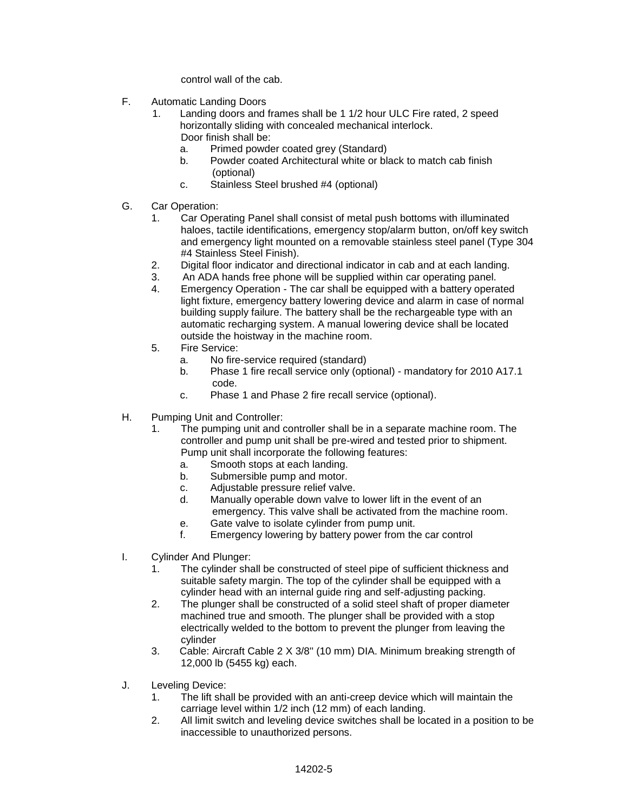control wall of the cab.

- F. Automatic Landing Doors
	- 1. Landing doors and frames shall be 1 1/2 hour ULC Fire rated, 2 speed horizontally sliding with concealed mechanical interlock. Door finish shall be:
		- a. Primed powder coated grey (Standard)
		- b. Powder coated Architectural white or black to match cab finish (optional)
		- c. Stainless Steel brushed #4 (optional)
- G. Car Operation:
	- 1. Car Operating Panel shall consist of metal push bottoms with illuminated haloes, tactile identifications, emergency stop/alarm button, on/off key switch and emergency light mounted on a removable stainless steel panel (Type 304 #4 Stainless Steel Finish).
	- 2. Digital floor indicator and directional indicator in cab and at each landing.
	- 3. An ADA hands free phone will be supplied within car operating panel.
	- 4. Emergency Operation The car shall be equipped with a battery operated light fixture, emergency battery lowering device and alarm in case of normal building supply failure. The battery shall be the rechargeable type with an automatic recharging system. A manual lowering device shall be located outside the hoistway in the machine room.
	- 5. Fire Service:
		- a. No fire-service required (standard)
		- b. Phase 1 fire recall service only (optional) mandatory for 2010 A17.1 code.
		- c. Phase 1 and Phase 2 fire recall service (optional).
- H. Pumping Unit and Controller:
	- 1. The pumping unit and controller shall be in a separate machine room. The controller and pump unit shall be pre-wired and tested prior to shipment. Pump unit shall incorporate the following features:
		- a. Smooth stops at each landing.
		- b. Submersible pump and motor.
		- c. Adjustable pressure relief valve.
		- d. Manually operable down valve to lower lift in the event of an emergency. This valve shall be activated from the machine room.
		- e. Gate valve to isolate cylinder from pump unit.
		- f. Emergency lowering by battery power from the car control
- I. Cylinder And Plunger:
	- 1. The cylinder shall be constructed of steel pipe of sufficient thickness and suitable safety margin. The top of the cylinder shall be equipped with a cylinder head with an internal guide ring and self-adjusting packing.
	- 2. The plunger shall be constructed of a solid steel shaft of proper diameter machined true and smooth. The plunger shall be provided with a stop electrically welded to the bottom to prevent the plunger from leaving the cylinder
	- 3. Cable: Aircraft Cable 2 X 3/8'' (10 mm) DIA. Minimum breaking strength of 12,000 lb (5455 kg) each.
- J. Leveling Device:
	- 1. The lift shall be provided with an anti-creep device which will maintain the carriage level within 1/2 inch (12 mm) of each landing.
	- 2. All limit switch and leveling device switches shall be located in a position to be inaccessible to unauthorized persons.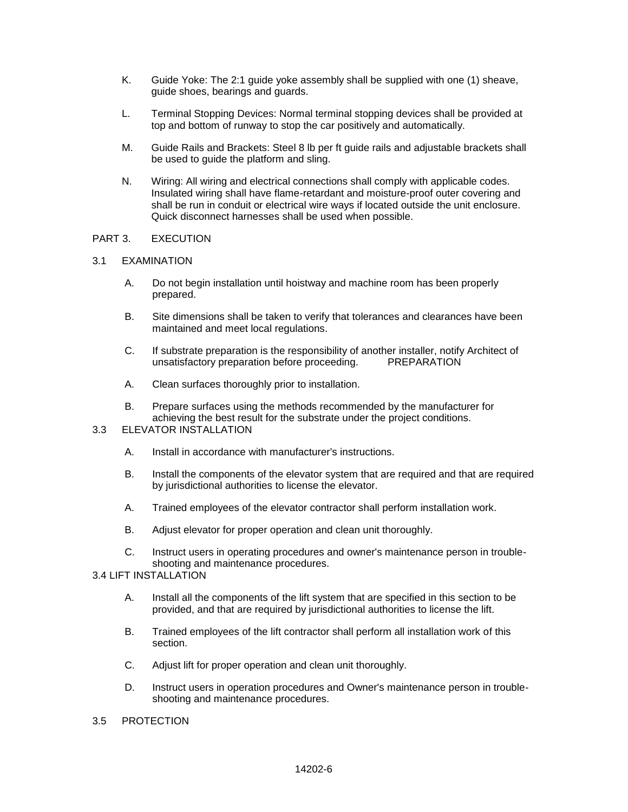- K. Guide Yoke: The 2:1 guide yoke assembly shall be supplied with one (1) sheave, guide shoes, bearings and guards.
- L. Terminal Stopping Devices: Normal terminal stopping devices shall be provided at top and bottom of runway to stop the car positively and automatically.
- M. Guide Rails and Brackets: Steel 8 lb per ft guide rails and adjustable brackets shall be used to guide the platform and sling.
- N. Wiring: All wiring and electrical connections shall comply with applicable codes. Insulated wiring shall have flame-retardant and moisture-proof outer covering and shall be run in conduit or electrical wire ways if located outside the unit enclosure. Quick disconnect harnesses shall be used when possible.

### PART 3. EXECUTION

### 3.1 EXAMINATION

- A. Do not begin installation until hoistway and machine room has been properly prepared.
- B. Site dimensions shall be taken to verify that tolerances and clearances have been maintained and meet local regulations.
- C. If substrate preparation is the responsibility of another installer, notify Architect of unsatisfactory preparation before proceeding. PREPARATION
- A. Clean surfaces thoroughly prior to installation.
- B. Prepare surfaces using the methods recommended by the manufacturer for achieving the best result for the substrate under the project conditions.

# 3.3 ELEVATOR INSTALLATION

- A. Install in accordance with manufacturer's instructions.
- B. Install the components of the elevator system that are required and that are required by jurisdictional authorities to license the elevator.
- A. Trained employees of the elevator contractor shall perform installation work.
- B. Adjust elevator for proper operation and clean unit thoroughly.
- C. Instruct users in operating procedures and owner's maintenance person in troubleshooting and maintenance procedures.

# 3.4 LIFT INSTALLATION

- A. Install all the components of the lift system that are specified in this section to be provided, and that are required by jurisdictional authorities to license the lift.
- B. Trained employees of the lift contractor shall perform all installation work of this section.
- C. Adjust lift for proper operation and clean unit thoroughly.
- D. Instruct users in operation procedures and Owner's maintenance person in troubleshooting and maintenance procedures.
- 3.5 PROTECTION